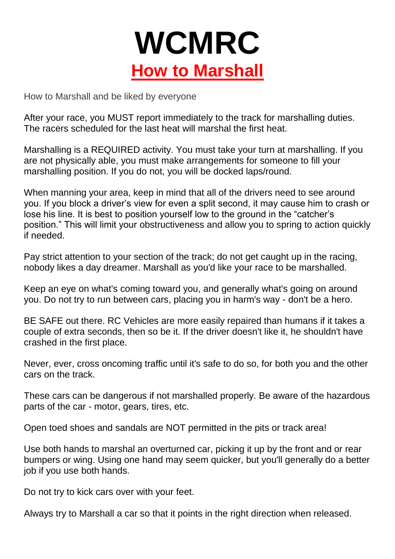

How to Marshall and be liked by everyone

After your race, you MUST report immediately to the track for marshalling duties. The racers scheduled for the last heat will marshal the first heat.

Marshalling is a REQUIRED activity. You must take your turn at marshalling. If you are not physically able, you must make arrangements for someone to fill your marshalling position. If you do not, you will be docked laps/round.

When manning your area, keep in mind that all of the drivers need to see around you. If you block a driver's view for even a split second, it may cause him to crash or lose his line. It is best to position yourself low to the ground in the "catcher's position." This will limit your obstructiveness and allow you to spring to action quickly if needed.

Pay strict attention to your section of the track; do not get caught up in the racing, nobody likes a day dreamer. Marshall as you'd like your race to be marshalled.

Keep an eye on what's coming toward you, and generally what's going on around you. Do not try to run between cars, placing you in harm's way - don't be a hero.

BE SAFE out there. RC Vehicles are more easily repaired than humans if it takes a couple of extra seconds, then so be it. If the driver doesn't like it, he shouldn't have crashed in the first place.

Never, ever, cross oncoming traffic until it's safe to do so, for both you and the other cars on the track.

These cars can be dangerous if not marshalled properly. Be aware of the hazardous parts of the car - motor, gears, tires, etc.

Open toed shoes and sandals are NOT permitted in the pits or track area!

Use both hands to marshal an overturned car, picking it up by the front and or rear bumpers or wing. Using one hand may seem quicker, but you'll generally do a better job if you use both hands.

Do not try to kick cars over with your feet.

Always try to Marshall a car so that it points in the right direction when released.